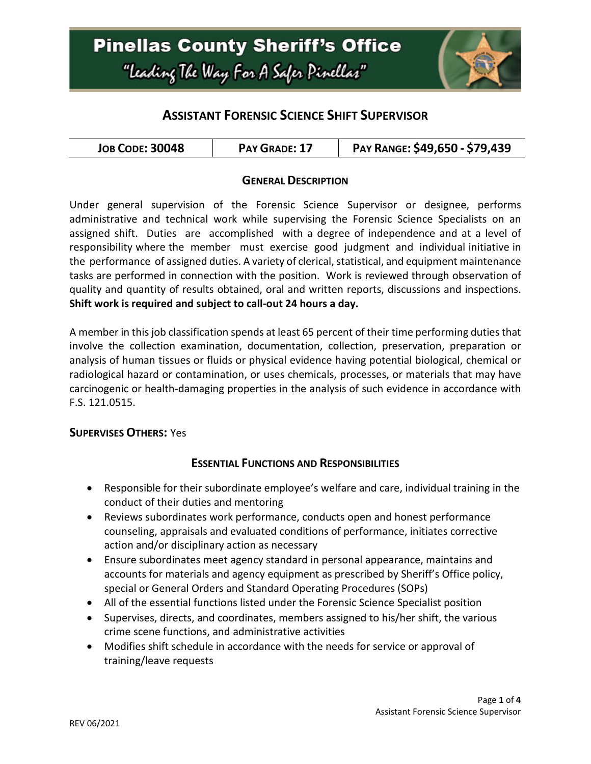

# **ASSISTANT FORENSIC SCIENCE SHIFT SUPERVISOR**

| <b>JOB CODE: 30048</b> | PAY GRADE: 17 | PAY RANGE: \$49,650 - \$79,439 |
|------------------------|---------------|--------------------------------|
|------------------------|---------------|--------------------------------|

#### **GENERAL DESCRIPTION**

Under general supervision of the Forensic Science Supervisor or designee, performs administrative and technical work while supervising the Forensic Science Specialists on an assigned shift. Duties are accomplished with a degree of independence and at a level of responsibility where the member must exercise good judgment and individual initiative in the performance of assigned duties. A variety of clerical, statistical, and equipment maintenance tasks are performed in connection with the position. Work is reviewed through observation of quality and quantity of results obtained, oral and written reports, discussions and inspections. **Shift work is required and subject to call-out 24 hours a day.**

A member in this job classification spends at least 65 percent of their time performing duties that involve the collection examination, documentation, collection, preservation, preparation or analysis of human tissues or fluids or physical evidence having potential biological, chemical or radiological hazard or contamination, or uses chemicals, processes, or materials that may have carcinogenic or health-damaging properties in the analysis of such evidence in accordance with F.S. 121.0515.

#### **SUPERVISES OTHERS:** Yes

## **ESSENTIAL FUNCTIONS AND RESPONSIBILITIES**

- Responsible for their subordinate employee's welfare and care, individual training in the conduct of their duties and mentoring
- Reviews subordinates work performance, conducts open and honest performance counseling, appraisals and evaluated conditions of performance, initiates corrective action and/or disciplinary action as necessary
- Ensure subordinates meet agency standard in personal appearance, maintains and accounts for materials and agency equipment as prescribed by Sheriff's Office policy, special or General Orders and Standard Operating Procedures (SOPs)
- All of the essential functions listed under the Forensic Science Specialist position
- Supervises, directs, and coordinates, members assigned to his/her shift, the various crime scene functions, and administrative activities
- Modifies shift schedule in accordance with the needs for service or approval of training/leave requests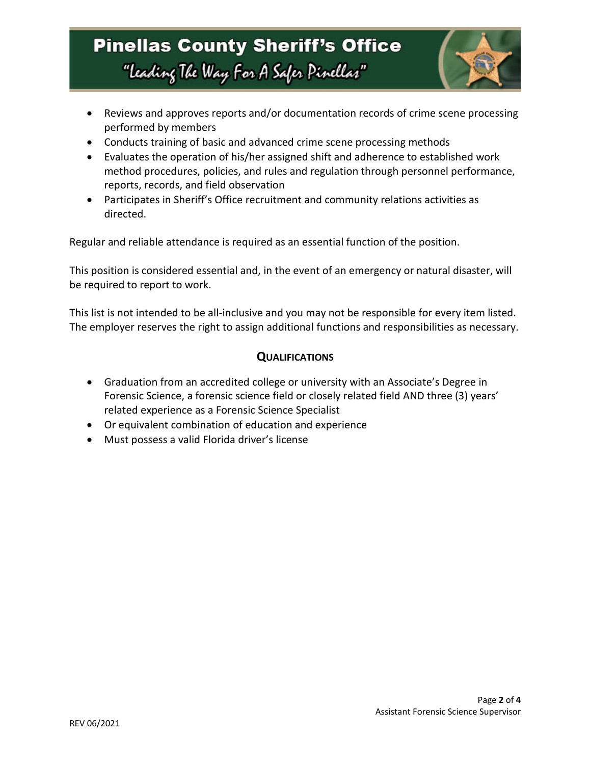# **Pinellas County Sheriff's Office** "Leading The Way For A Safer Pinellar"



- Reviews and approves reports and/or documentation records of crime scene processing performed by members
- Conducts training of basic and advanced crime scene processing methods
- Evaluates the operation of his/her assigned shift and adherence to established work method procedures, policies, and rules and regulation through personnel performance, reports, records, and field observation
- Participates in Sheriff's Office recruitment and community relations activities as directed.

Regular and reliable attendance is required as an essential function of the position.

This position is considered essential and, in the event of an emergency or natural disaster, will be required to report to work.

This list is not intended to be all-inclusive and you may not be responsible for every item listed. The employer reserves the right to assign additional functions and responsibilities as necessary.

#### **QUALIFICATIONS**

- Graduation from an accredited college or university with an Associate's Degree in Forensic Science, a forensic science field or closely related field AND three (3) years' related experience as a Forensic Science Specialist
- Or equivalent combination of education and experience
- Must possess a valid Florida driver's license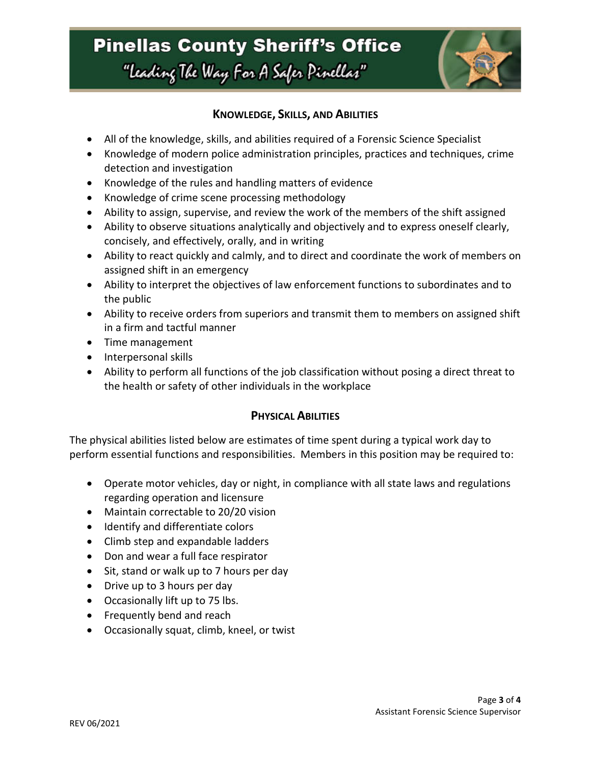# **Pinellas County Sheriff's Office** "Leading The Way For A Safer Pinellar"



### **KNOWLEDGE, SKILLS, AND ABILITIES**

- All of the knowledge, skills, and abilities required of a Forensic Science Specialist
- Knowledge of modern police administration principles, practices and techniques, crime detection and investigation
- Knowledge of the rules and handling matters of evidence
- Knowledge of crime scene processing methodology
- Ability to assign, supervise, and review the work of the members of the shift assigned
- Ability to observe situations analytically and objectively and to express oneself clearly, concisely, and effectively, orally, and in writing
- Ability to react quickly and calmly, and to direct and coordinate the work of members on assigned shift in an emergency
- Ability to interpret the objectives of law enforcement functions to subordinates and to the public
- Ability to receive orders from superiors and transmit them to members on assigned shift in a firm and tactful manner
- Time management
- Interpersonal skills
- Ability to perform all functions of the job classification without posing a direct threat to the health or safety of other individuals in the workplace

#### **PHYSICAL ABILITIES**

The physical abilities listed below are estimates of time spent during a typical work day to perform essential functions and responsibilities. Members in this position may be required to:

- Operate motor vehicles, day or night, in compliance with all state laws and regulations regarding operation and licensure
- Maintain correctable to 20/20 vision
- Identify and differentiate colors
- Climb step and expandable ladders
- Don and wear a full face respirator
- Sit, stand or walk up to 7 hours per day
- Drive up to 3 hours per day
- Occasionally lift up to 75 lbs.
- Frequently bend and reach
- Occasionally squat, climb, kneel, or twist